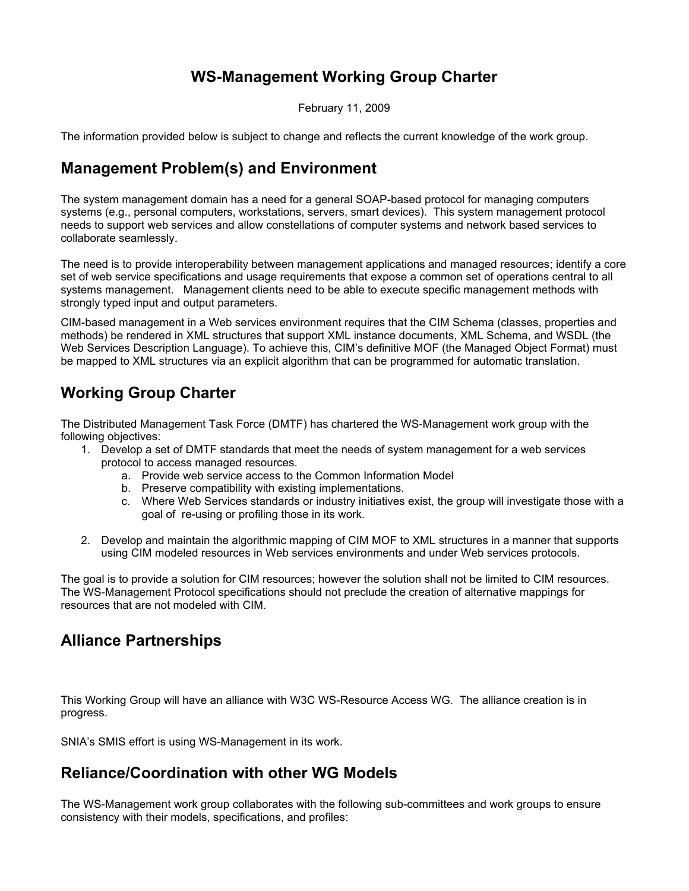## **WS-Management Working Group Charter**

February 11, 2009

The information provided below is subject to change and reflects the current knowledge of the work group.

### **Management Problem(s) and Environment**

The system management domain has a need for a general SOAP-based protocol for managing computers systems (e.g., personal computers, workstations, servers, smart devices). This system management protocol needs to support web services and allow constellations of computer systems and network based services to collaborate seamlessly.

The need is to provide interoperability between management applications and managed resources; identify a core set of web service specifications and usage requirements that expose a common set of operations central to all systems management. Management clients need to be able to execute specific management methods with strongly typed input and output parameters.

CIM-based management in a Web services environment requires that the CIM Schema (classes, properties and methods) be rendered in XML structures that support XML instance documents, XML Schema, and WSDL (the Web Services Description Language). To achieve this, CIM's definitive MOF (the Managed Object Format) must be mapped to XML structures via an explicit algorithm that can be programmed for automatic translation.

# **Working Group Charter**

The Distributed Management Task Force (DMTF) has chartered the WS-Management work group with the following objectives:

- 1. Develop a set of DMTF standards that meet the needs of system management for a web services protocol to access managed resources.
	- a. Provide web service access to the Common Information Model
	- b. Preserve compatibility with existing implementations.
	- c. Where Web Services standards or industry initiatives exist, the group will investigate those with a goal of re-using or profiling those in its work.
- 2. Develop and maintain the algorithmic mapping of CIM MOF to XML structures in a manner that supports using CIM modeled resources in Web services environments and under Web services protocols.

The goal is to provide a solution for CIM resources; however the solution shall not be limited to CIM resources. The WS-Management Protocol specifications should not preclude the creation of alternative mappings for resources that are not modeled with CIM.

### **Alliance Partnerships**

This Working Group will have an alliance with W3C WS-Resource Access WG. The alliance creation is in progress.

SNIA's SMIS effort is using WS-Management in its work.

### **Reliance/Coordination with other WG Models**

The WS-Management work group collaborates with the following sub-committees and work groups to ensure consistency with their models, specifications, and profiles: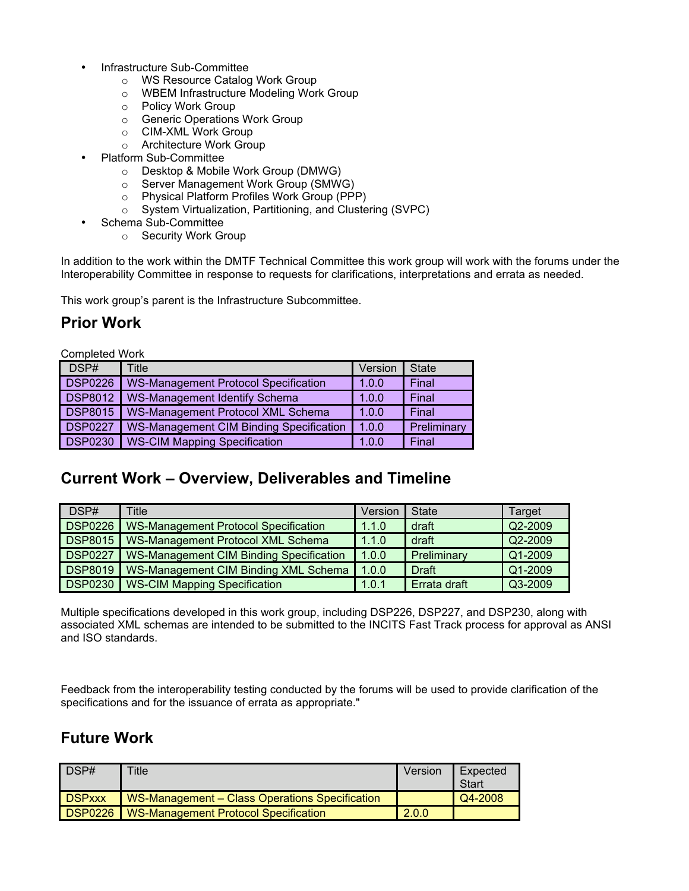- Infrastructure Sub-Committee
	- o WS Resource Catalog Work Group
	- o WBEM Infrastructure Modeling Work Group
	- o Policy Work Group
	- o Generic Operations Work Group
	- o CIM-XML Work Group
	- o Architecture Work Group
- Platform Sub-Committee
	- o Desktop & Mobile Work Group (DMWG)
	- o Server Management Work Group (SMWG)
	- o Physical Platform Profiles Work Group (PPP)
	- o System Virtualization, Partitioning, and Clustering (SVPC)
- Schema Sub-Committee
	- o Security Work Group

In addition to the work within the DMTF Technical Committee this work group will work with the forums under the Interoperability Committee in response to requests for clarifications, interpretations and errata as needed.

This work group's parent is the Infrastructure Subcommittee.

#### **Prior Work**

Completed Work

| DSP#           | Title                                          | Version | <b>State</b> |
|----------------|------------------------------------------------|---------|--------------|
| <b>DSP0226</b> | <b>WS-Management Protocol Specification</b>    | 1.0.0   | Final        |
| <b>DSP8012</b> | <b>WS-Management Identify Schema</b>           | 1.0.0   | Final        |
| <b>DSP8015</b> | WS-Management Protocol XML Schema              | 1.0.0   | Final        |
| <b>DSP0227</b> | <b>WS-Management CIM Binding Specification</b> | 1.0.0   | Preliminary  |
| <b>DSP0230</b> | <b>WS-CIM Mapping Specification</b>            | 1.0.0   | Final        |

### **Current Work – Overview, Deliverables and Timeline**

| DSP#           | <b>Title</b>                                   | Version | State        | Target    |
|----------------|------------------------------------------------|---------|--------------|-----------|
| <b>DSP0226</b> | <b>WS-Management Protocol Specification</b>    | 1.1.0   | draft        | Q2-2009   |
| <b>DSP8015</b> | WS-Management Protocol XML Schema              | 1.1.0   | draft        | Q2-2009   |
| <b>DSP0227</b> | <b>WS-Management CIM Binding Specification</b> | 1.0.0   | Preliminary  | $Q1-2009$ |
| <b>DSP8019</b> | WS-Management CIM Binding XML Schema           | 1.0.0   | Draft        | Q1-2009   |
| <b>DSP0230</b> | <b>WS-CIM Mapping Specification</b>            | 1.0.1   | Errata draft | Q3-2009   |

Multiple specifications developed in this work group, including DSP226, DSP227, and DSP230, along with associated XML schemas are intended to be submitted to the INCITS Fast Track process for approval as ANSI and ISO standards.

Feedback from the interoperability testing conducted by the forums will be used to provide clarification of the specifications and for the issuance of errata as appropriate."

#### **Future Work**

| DSP#          | <b>Title</b>                                   | Version | Expected<br><b>Start</b> |
|---------------|------------------------------------------------|---------|--------------------------|
| <b>DSPxxx</b> | WS-Management - Class Operations Specification |         | Q4-2008                  |
| DSP0226       | <b>WS-Management Protocol Specification</b>    | 2.0.0   |                          |